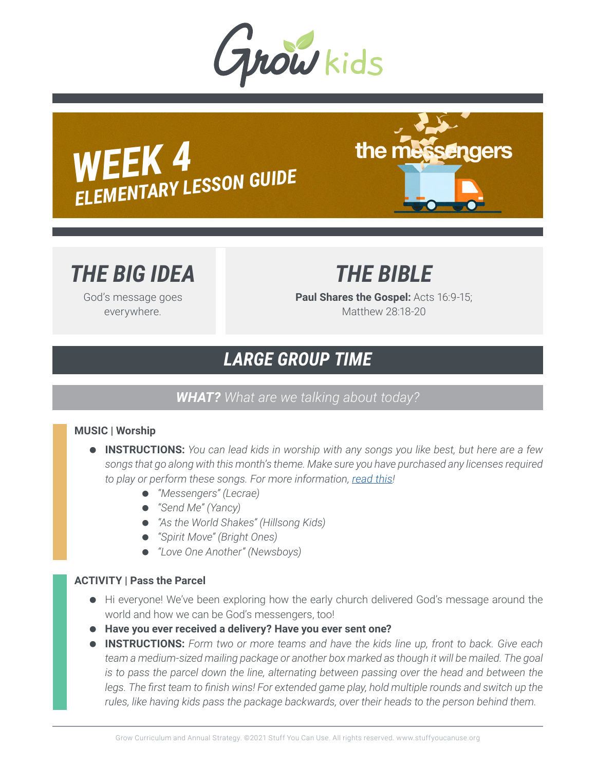

*WEEK 4 ELEMENTARY LESSON GUIDE*



# *THE BIG IDEA*

God's message goes everywhere.

*THE BIBLE*

**Paul Shares the Gospel:** Acts 16:9-15; Matthew 28:18-20

# *LARGE GROUP TIME*

### *WHAT? What are we talking about today?*

### **MUSIC | Worship**

- **INSTRUCTIONS:** *You can lead kids in worship with any songs you like best, but here are a few songs that go along with this month's theme. Make sure you have purchased any licenses required to play or perform these songs. For more information, read this!*
	- *"Messengers" (Lecrae)*
	- *"Send Me" (Yancy)*
	- *"As the World Shakes" (Hillsong Kids)*
	- *"Spirit Move" (Bright Ones)*
	- *"Love One Another" (Newsboys)*

### **ACTIVITY | Pass the Parcel**

- Hi everyone! We've been exploring how the early church delivered God's message around the world and how we can be God's messengers, too!
- **Have you ever received a delivery? Have you ever sent one?**
- **INSTRUCTIONS:** *Form two or more teams and have the kids line up, front to back. Give each team a medium-sized mailing package or another box marked as though it will be mailed. The goal is to pass the parcel down the line, alternating between passing over the head and between the* legs. The first team to finish wins! For extended game play, hold multiple rounds and switch up the *rules, like having kids pass the package backwards, over their heads to the person behind them.*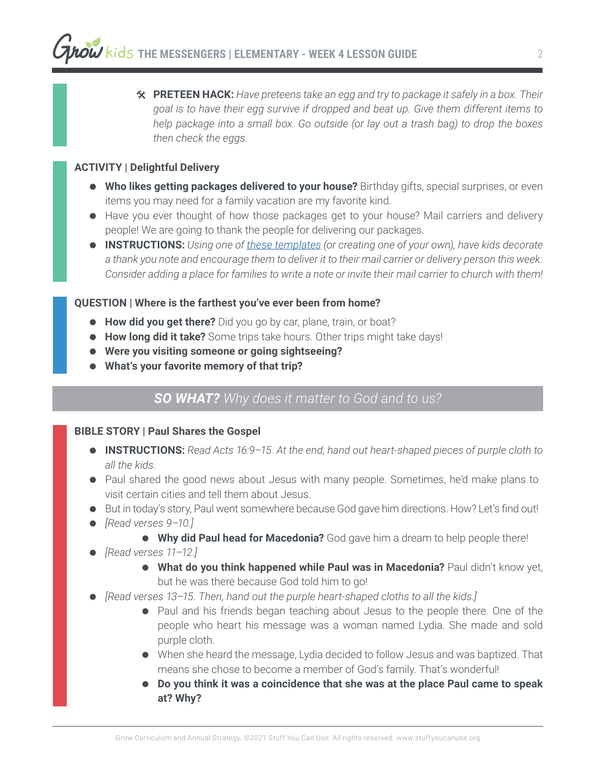# **PRETEEN HACK:** *Have preteens take an egg and try to package it safely in a box. Their goal is to have their egg survive if dropped and beat up. Give them different items to help package into a small box. Go outside (or lay out a trash bag) to drop the boxes then check the eggs.*

### **ACTIVITY | Delightful Delivery**

- **Who likes getting packages delivered to your house?** Birthday gifts, special surprises, or even items you may need for a family vacation are my favorite kind.
- Have you ever thought of how those packages get to your house? Mail carriers and delivery people! We are going to thank the people for delivering our packages.
- **INSTRUCTIONS:** *Using one of these templates (or creating one of your own), have kids decorate a thank you note and encourage them to deliver it to their mail carrier or delivery person this week. Consider adding a place for families to write a note or invite their mail carrier to church with them!*

### **QUESTION | Where is the farthest you've ever been from home?**

- **How did you get there?** Did you go by car, plane, train, or boat?
- **How long did it take?** Some trips take hours. Other trips might take days!
- **Were you visiting someone or going sightseeing?**
- **What's your favorite memory of that trip?**

## *SO WHAT? Why does it matter to God and to us?*

### **BIBLE STORY | Paul Shares the Gospel**

- **INSTRUCTIONS:** *Read Acts 16:9–15. At the end, hand out heart-shaped pieces of purple cloth to all the kids.*
- Paul shared the good news about Jesus with many people. Sometimes, he'd make plans to visit certain cities and tell them about Jesus.
- But in today's story, Paul went somewhere because God gave him directions. How? Let's find out!
- *[Read verses 9–10.]*
	- **Why did Paul head for Macedonia?** God gave him a dream to help people there!
- *[Read verses 11–12.]*
	- **What do you think happened while Paul was in Macedonia?** Paul didn't know yet, but he was there because God told him to go!
- *[Read verses 13–15. Then, hand out the purple heart-shaped cloths to all the kids.]*
	- Paul and his friends began teaching about Jesus to the people there. One of the people who heart his message was a woman named Lydia. She made and sold purple cloth.
	- When she heard the message, Lydia decided to follow Jesus and was baptized. That means she chose to become a member of God's family. That's wonderful!
	- **Do you think it was a coincidence that she was at the place Paul came to speak at? Why?**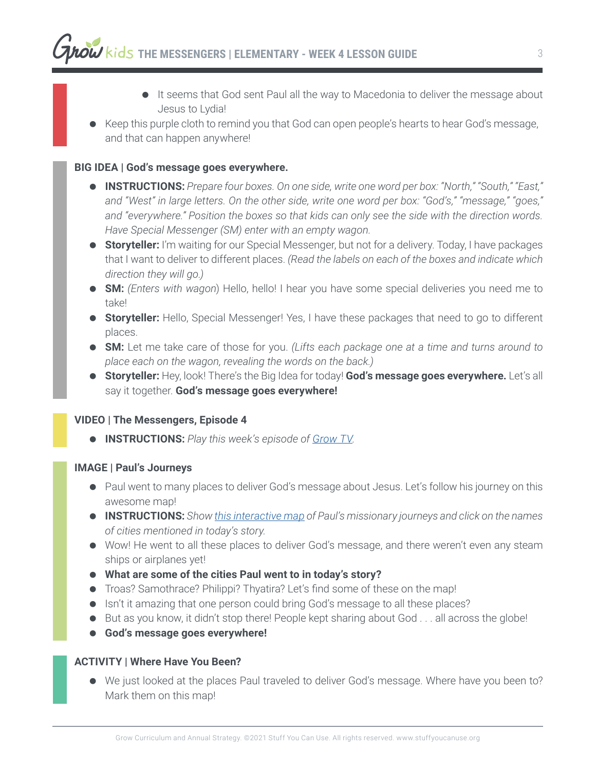- It seems that God sent Paul all the way to Macedonia to deliver the message about Jesus to Lydia!
- Keep this purple cloth to remind you that God can open people's hearts to hear God's message, and that can happen anywhere!

### **BIG IDEA | God's message goes everywhere.**

- **INSTRUCTIONS:** *Prepare four boxes. On one side, write one word per box: "North," "South," "East," and "West" in large letters. On the other side, write one word per box: "God's," "message," "goes," and "everywhere." Position the boxes so that kids can only see the side with the direction words. Have Special Messenger (SM) enter with an empty wagon.*
- **Storyteller:** I'm waiting for our Special Messenger, but not for a delivery. Today, I have packages that I want to deliver to different places. *(Read the labels on each of the boxes and indicate which direction they will go.)*
- **SM:** *(Enters with wagon*) Hello, hello! I hear you have some special deliveries you need me to take!
- **Storyteller:** Hello, Special Messenger! Yes, I have these packages that need to go to different places.
- **SM:** Let me take care of those for you. *(Lifts each package one at a time and turns around to place each on the wagon, revealing the words on the back.)*
- **Storyteller:** Hey, look! There's the Big Idea for today! **God's message goes everywhere.** Let's all say it together. **God's message goes everywhere!**

### **VIDEO | The Messengers, Episode 4**

**INSTRUCTIONS:** *Play this week's episode of Grow TV.*

### **IMAGE | Paul's Journeys**

- Paul went to many places to deliver God's message about Jesus. Let's follow his journey on this awesome map!
- **INSTRUCTIONS:** *Show this interactive map of Paul's missionary journeys and click on the names of cities mentioned in today's story.*
- Wow! He went to all these places to deliver God's message, and there weren't even any steam ships or airplanes yet!
- **What are some of the cities Paul went to in today's story?**
- Troas? Samothrace? Philippi? Thyatira? Let's find some of these on the map!
- **.** Isn't it amazing that one person could bring God's message to all these places?
- But as you know, it didn't stop there! People kept sharing about God . . . all across the globe!
- **God's message goes everywhere!**

### **ACTIVITY | Where Have You Been?**

 We just looked at the places Paul traveled to deliver God's message. Where have you been to? Mark them on this map!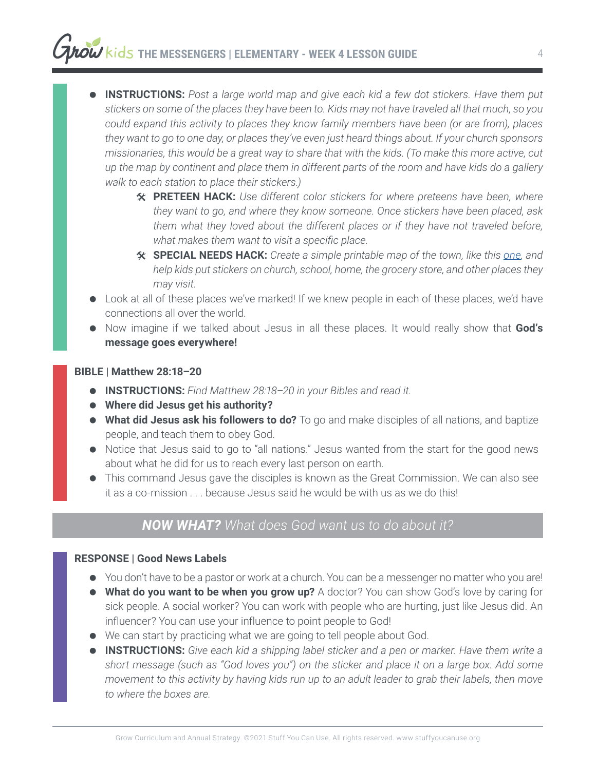# **THE MESSENGERS | ELEMENTARY - WEEK 4 LESSON GUIDE**

 **INSTRUCTIONS:** *Post a large world map and give each kid a few dot stickers. Have them put stickers on some of the places they have been to. Kids may not have traveled all that much, so you could expand this activity to places they know family members have been (or are from), places they want to go to one day, or places they've even just heard things about. If your church sponsors missionaries, this would be a great way to share that with the kids. (To make this more active, cut up the map by continent and place them in different parts of the room and have kids do a gallery walk to each station to place their stickers.)*

- # **PRETEEN HACK:** *Use different color stickers for where preteens have been, where they want to go, and where they know someone. Once stickers have been placed, ask them what they loved about the different places or if they have not traveled before, what makes them want to visit a specific place.*
- # **SPECIAL NEEDS HACK:** *Create a simple printable map of the town, like this one, and help kids put stickers on church, school, home, the grocery store, and other places they may visit.*
- Look at all of these places we've marked! If we knew people in each of these places, we'd have connections all over the world.
- Now imagine if we talked about Jesus in all these places. It would really show that **God's message goes everywhere!**

### **BIBLE | Matthew 28:18–20**

- **INSTRUCTIONS:** *Find Matthew 28:18–20 in your Bibles and read it.*
- **Where did Jesus get his authority?**
- **What did Jesus ask his followers to do?** To go and make disciples of all nations, and baptize people, and teach them to obey God.
- Notice that Jesus said to go to "all nations." Jesus wanted from the start for the good news about what he did for us to reach every last person on earth.
- This command Jesus gave the disciples is known as the Great Commission. We can also see it as a co-mission . . . because Jesus said he would be with us as we do this!

### *NOW WHAT? What does God want us to do about it?*

### **RESPONSE | Good News Labels**

- You don't have to be a pastor or work at a church. You can be a messenger no matter who you are!
- **What do you want to be when you grow up?** A doctor? You can show God's love by caring for sick people. A social worker? You can work with people who are hurting, just like Jesus did. An influencer? You can use your influence to point people to God!
- We can start by practicing what we are going to tell people about God.
- **INSTRUCTIONS:** *Give each kid a shipping label sticker and a pen or marker. Have them write a short message (such as "God loves you") on the sticker and place it on a large box. Add some movement to this activity by having kids run up to an adult leader to grab their labels, then move to where the boxes are.*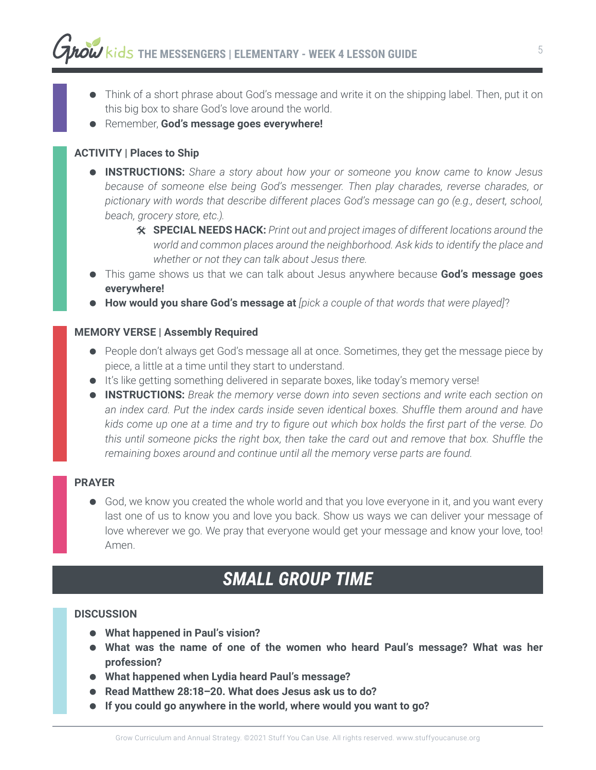- Think of a short phrase about God's message and write it on the shipping label. Then, put it on this big box to share God's love around the world.
- Remember, **God's message goes everywhere!**

### **ACTIVITY | Places to Ship**

- **INSTRUCTIONS:** *Share a story about how your or someone you know came to know Jesus because of someone else being God's messenger. Then play charades, reverse charades, or pictionary with words that describe different places God's message can go (e.g., desert, school, beach, grocery store, etc.).*
	- # **SPECIAL NEEDS HACK:** *Print out and project images of different locations around the world and common places around the neighborhood. Ask kids to identify the place and whether or not they can talk about Jesus there.*
- This game shows us that we can talk about Jesus anywhere because **God's message goes everywhere!**
- **How would you share God's message at** *[pick a couple of that words that were played]*?

### **MEMORY VERSE | Assembly Required**

- People don't always get God's message all at once. Sometimes, they get the message piece by piece, a little at a time until they start to understand.
- $\bullet$  It's like getting something delivered in separate boxes, like today's memory verse!
- **INSTRUCTIONS:** *Break the memory verse down into seven sections and write each section on an index card. Put the index cards inside seven identical boxes. Shuffle them around and have kids come up one at a time and try to figure out which box holds the first part of the verse. Do this until someone picks the right box, then take the card out and remove that box. Shuffle the remaining boxes around and continue until all the memory verse parts are found.*

### **PRAYER**

 God, we know you created the whole world and that you love everyone in it, and you want every last one of us to know you and love you back. Show us ways we can deliver your message of love wherever we go. We pray that everyone would get your message and know your love, too! Amen.

## *SMALL GROUP TIME*

### **DISCUSSION**

- **What happened in Paul's vision?**
- **What was the name of one of the women who heard Paul's message? What was her profession?**
- **What happened when Lydia heard Paul's message?**
- **Read Matthew 28:18–20. What does Jesus ask us to do?**
- **If you could go anywhere in the world, where would you want to go?**